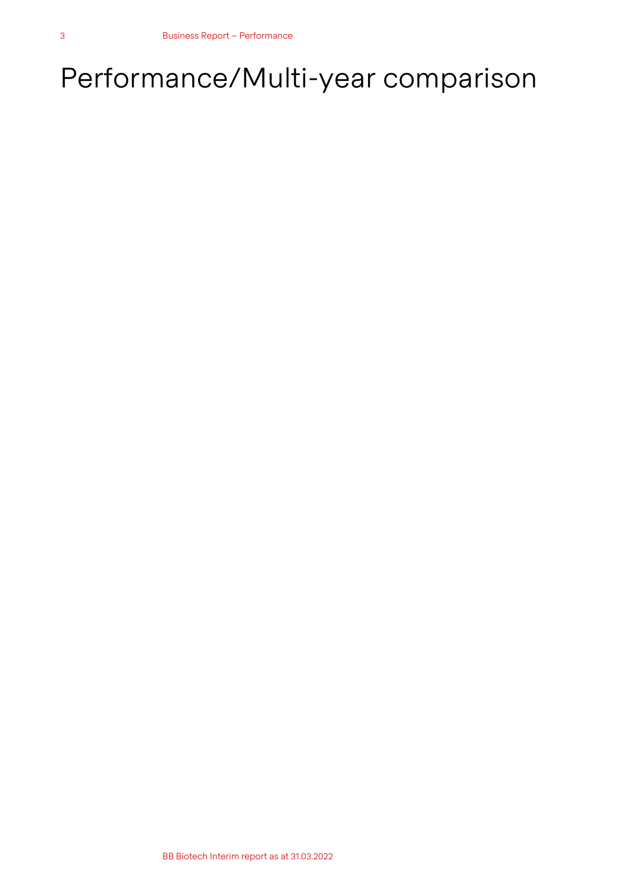# Performance/Multi-year comparison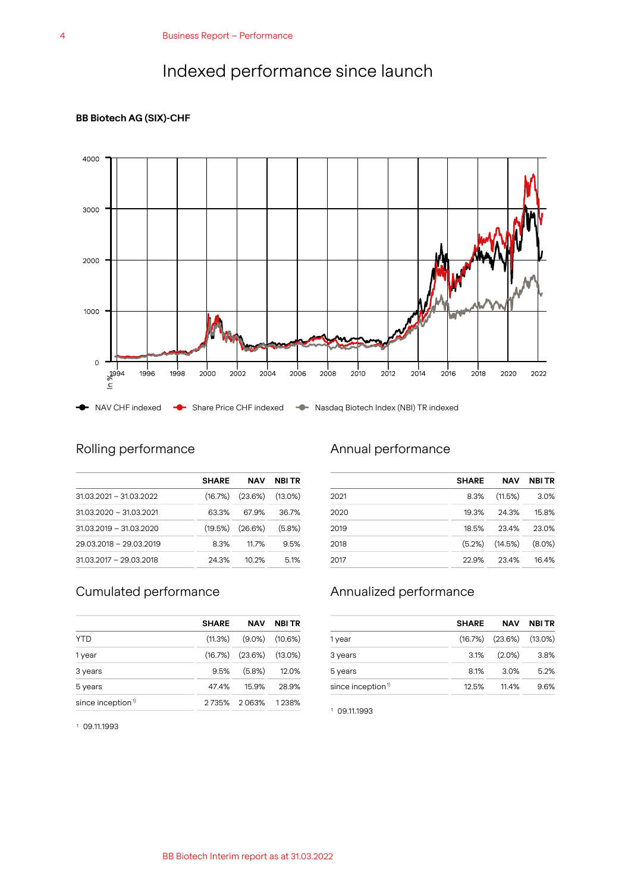# Indexed performance since launch

### **BB Biotech AG (SIX)-CHF**



# Rolling performance

|                           | <b>SHARE</b> | <b>NAV</b>                       | <b>NBI TR</b> |
|---------------------------|--------------|----------------------------------|---------------|
| 31.03.2021 - 31.03.2022   |              | $(16.7\%)$ $(23.6\%)$ $(13.0\%)$ |               |
| $31.03.2020 - 31.03.2021$ | 63.3%        | 67.9%                            | 36.7%         |
| $31.03.2019 - 31.03.2020$ |              | $(19.5\%)$ $(26.6\%)$            | $(5.8\%)$     |
| 29.03.2018 - 29.03.2019   | 8.3%         | 11.7%                            | 9.5%          |
| $31.03.2017 - 29.03.2018$ | 24.3%        | 10.2%                            | 5.1%          |

# Cumulated performance

|                        | <b>SHARE</b> | <b>NAV</b>                       | <b>NBI TR</b> |
|------------------------|--------------|----------------------------------|---------------|
| <b>YTD</b>             |              | $(11.3\%)$ $(9.0\%)$ $(10.6\%)$  |               |
| 1 year                 |              | $(16.7\%)$ $(23.6\%)$ $(13.0\%)$ |               |
| 3 years                | 9.5%         | $(5.8\%)$                        | 12.0%         |
| 5 years                | 47.4%        | 15.9%                            | 28.9%         |
| since inception $\psi$ |              | 2735% 2063%                      | 1238%         |

### <sup>1</sup> 09.11.1993

## Annual performance

|      | <b>SHARE</b> | <b>NAV</b>           | <b>NBI TR</b> |
|------|--------------|----------------------|---------------|
| 2021 | 8.3%         | (11.5%)              | 3.0%          |
| 2020 | 19.3%        | 24.3%                | 15.8%         |
| 2019 | 18.5%        | 23.4%                | 23.0%         |
| 2018 |              | $(5.2\%)$ $(14.5\%)$ | $(8.0\%)$     |
| 2017 | 22.9%        | 23.4%                | 16.4%         |

# Annualized performance

|                              | <b>SHARE</b> | <b>NAV</b>                       | NBI TR |
|------------------------------|--------------|----------------------------------|--------|
| 1 year                       |              | $(16.7\%)$ $(23.6\%)$ $(13.0\%)$ |        |
| 3 years                      |              | $3.1\%$ $(2.0\%)$                | - 3.8% |
| 5 years                      | 8.1%         | 3.0%                             | 5.2%   |
| since inception $\mathbb{I}$ | 12.5%        | 11 4%                            | 9.6%   |

<sup>1</sup> 09.11.1993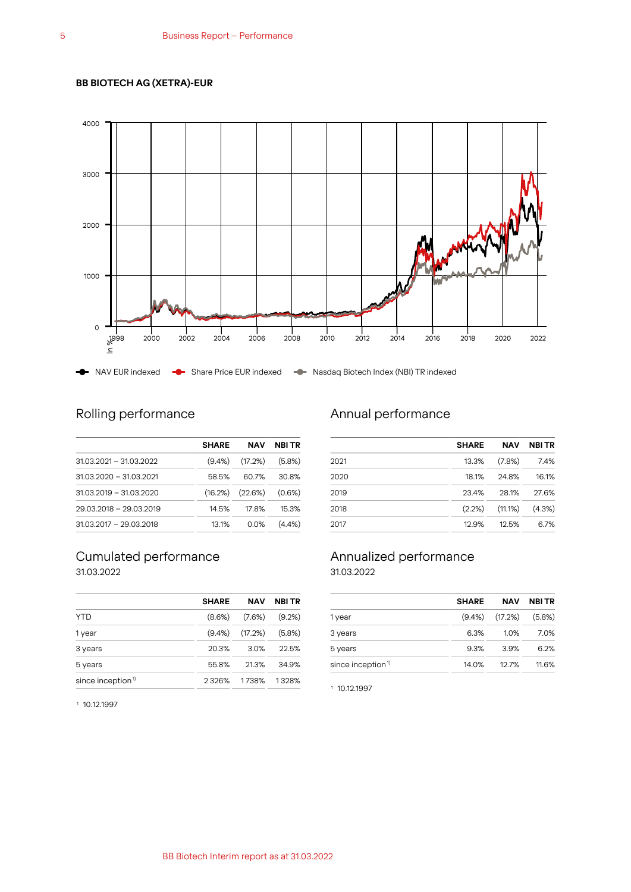### **BB BIOTECH AG (XETRA)-EUR**



# Rolling performance

|                           | <b>SHARE</b> | <b>NAV</b>                     | <b>NBI TR</b> |
|---------------------------|--------------|--------------------------------|---------------|
| $31.03.2021 - 31.03.2022$ |              | $(9.4\%)$ $(17.2\%)$ $(5.8\%)$ |               |
| $31.03.2020 - 31.03.2021$ | 58.5%        | 60.7%                          | 30.8%         |
| $31.03.2019 - 31.03.2020$ |              | $(16.2\%)$ $(22.6\%)$          | (0.6%)        |
| 29.03.2018 - 29.03.2019   | 14.5%        | 17.8%                          | 15.3%         |
| $31.03.2017 - 29.03.2018$ | 13.1%        | $0.0\%$                        | $(4.4\%)$     |

### Cumulated performance 31.03.2022

|                               | <b>SHARE</b> | NAV     | <b>NBI TR</b> |
|-------------------------------|--------------|---------|---------------|
| <b>YTD</b>                    | $(8.6\%)$    | (7.6%)  | $(9.2\%)$     |
| 1 year                        | $(9.4\%)$    | (17.2%) | $(5.8\%)$     |
| 3 years                       | 20.3%        | 3.0%    | 22.5%         |
| 5 years                       | 55.8%        | 21.3%   | 34.9%         |
| since inception <sup>1)</sup> | 2326%        | 1738%   | 1328%         |

# Annual performance

|      | <b>SHARE</b> | <b>NAV</b>                     | <b>NBITR</b> |
|------|--------------|--------------------------------|--------------|
| 2021 | 13.3%        | (7.8%)                         | 7.4%         |
| 2020 | 18.1%        | 24.8%                          | 16.1%        |
| 2019 | 23.4%        | 28.1%                          | 27.6%        |
| 2018 |              | $(2.2\%)$ $(11.1\%)$ $(4.3\%)$ |              |
| 2017 | 12.9%        | 12.5%                          | 6.7%         |

### Annualized performance 31.03.2022

|       | <b>NAV</b> | NBI TR                                         |
|-------|------------|------------------------------------------------|
|       |            |                                                |
| 6.3%  | 1.0%       | 7.0%                                           |
| 9.3%  | 3.9%       | 6.2%                                           |
| 14.0% | 12.7%      | 11.6%                                          |
|       |            | <b>SHARE</b><br>$(9.4\%)$ $(17.2\%)$ $(5.8\%)$ |

<sup>1</sup> 10.12.1997

<sup>1</sup> 10.12.1997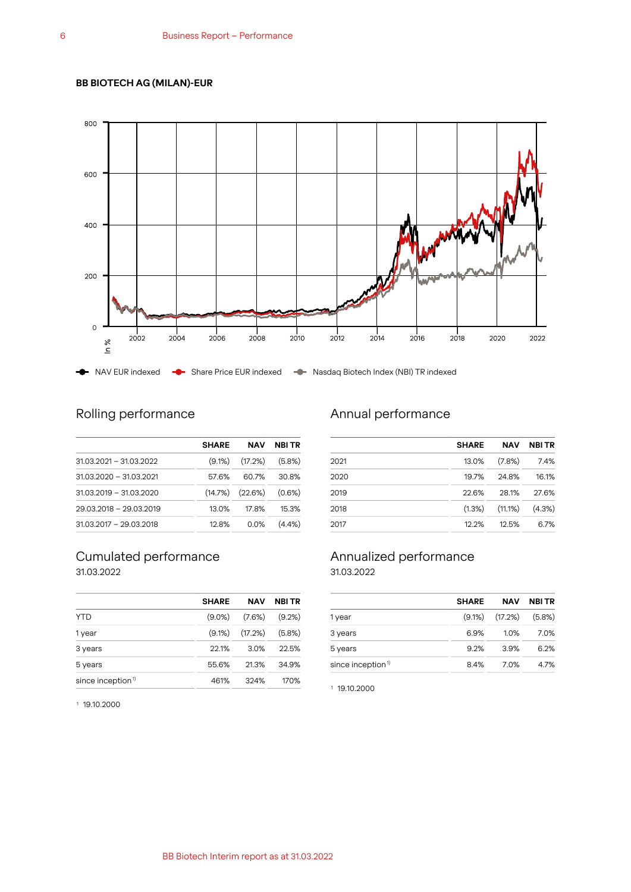### **BB BIOTECH AG (MILAN)-EUR**



# Rolling performance

|                           | <b>SHARE</b> | <b>NAV</b>                     | <b>NBI TR</b> |
|---------------------------|--------------|--------------------------------|---------------|
| $31.03.2021 - 31.03.2022$ |              | $(9.1\%)$ $(17.2\%)$ $(5.8\%)$ |               |
| $31.03.2020 - 31.03.2021$ | 57.6%        | 60.7%                          | 30.8%         |
| $31.03.2019 - 31.03.2020$ |              | (14.7%) (22.6%)                | (0.6%)        |
| 29.03.2018 - 29.03.2019   | 13.0%        | 17.8%                          | 15.3%         |
| $31.03.2017 - 29.03.2018$ | 12.8%        | 0.0%                           | $(4.4\%)$     |

### Cumulated performance 31.03.2022

| <b>SHARE</b> | NAV     | <b>NBI TR</b> |
|--------------|---------|---------------|
| $(9.0\%)$    | (7.6%)  | $(9.2\%)$     |
| $(9.1\%)$    | (17.2%) | $(5.8\%)$     |
| 22.1%        | 3.0%    | 22.5%         |
| 55.6%        | 21.3%   | 34.9%         |
| 461%         | 324%    | 170%          |
|              |         |               |

# Annual performance

|      | <b>SHARE</b> | <b>NAV</b>                     | <b>NBITR</b> |
|------|--------------|--------------------------------|--------------|
| 2021 | 13.0%        | $(7.8\%)$                      | 7.4%         |
| 2020 | 19.7%        | 24.8%                          | 16.1%        |
| 2019 | 22.6%        | 28.1%                          | 27.6%        |
| 2018 |              | $(1.3\%)$ $(11.1\%)$ $(4.3\%)$ |              |
| 2017 | 12.2%        | 12.5%                          | 6.7%         |

### Annualized performance 31.03.2022

| <b>SHARE</b> | <b>NAV</b> | <b>NBITR</b>                   |
|--------------|------------|--------------------------------|
|              |            |                                |
| 6.9%         | 1.0%       | 7.0%                           |
| 9.2%         | 3.9%       | 6.2%                           |
| 8.4%         | 7.0%       | 4.7%                           |
|              |            | $(9.1\%)$ $(17.2\%)$ $(5.8\%)$ |

<sup>1</sup> 19.10.2000

<sup>1</sup> 19.10.2000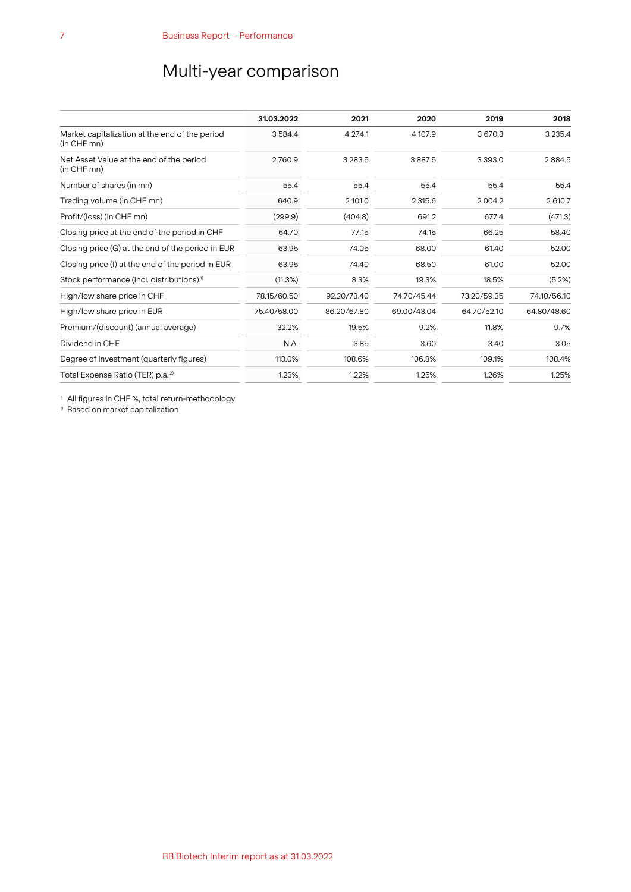# Multi-year comparison

|                                                               | 31.03.2022  | 2021        | 2020        | 2019        | 2018        |
|---------------------------------------------------------------|-------------|-------------|-------------|-------------|-------------|
| Market capitalization at the end of the period<br>(in CHF mn) | 3584.4      | 4 274.1     | 4 10 7.9    | 3 670.3     | 3 2 3 5.4   |
| Net Asset Value at the end of the period<br>(in CHF mn)       | 2760.9      | 3 2 8 3 .5  | 3887.5      | 3 3 9 3 . 0 | 2884.5      |
| Number of shares (in mn)                                      | 55.4        | 55.4        | 55.4        | 55.4        | 55.4        |
| Trading volume (in CHF mn)                                    | 640.9       | 2 101.0     | 2 315.6     | 2004.2      | 2 610.7     |
| Profit/(loss) (in CHF mn)                                     | (299.9)     | (404.8)     | 691.2       | 677.4       | (471.3)     |
| Closing price at the end of the period in CHF                 | 64.70       | 77.15       | 74.15       | 66.25       | 58.40       |
| Closing price (G) at the end of the period in EUR             | 63.95       | 74.05       | 68.00       | 61.40       | 52.00       |
| Closing price (I) at the end of the period in EUR             | 63.95       | 74.40       | 68.50       | 61.00       | 52.00       |
| Stock performance (incl. distributions) <sup>1)</sup>         | (11.3%)     | 8.3%        | 19.3%       | 18.5%       | (5.2%)      |
| High/low share price in CHF                                   | 78.15/60.50 | 92.20/73.40 | 74.70/45.44 | 73.20/59.35 | 74.10/56.10 |
| High/low share price in EUR                                   | 75.40/58.00 | 86.20/67.80 | 69.00/43.04 | 64.70/52.10 | 64.80/48.60 |
| Premium/(discount) (annual average)                           | 32.2%       | 19.5%       | 9.2%        | 11.8%       | 9.7%        |
| Dividend in CHF                                               | N.A.        | 3.85        | 3.60        | 3.40        | 3.05        |
| Degree of investment (quarterly figures)                      | 113.0%      | 108.6%      | 106.8%      | 109.1%      | 108.4%      |
| Total Expense Ratio (TER) p.a. <sup>2)</sup>                  | 1.23%       | 1.22%       | 1.25%       | 1.26%       | 1.25%       |

<sup>1</sup> All figures in CHF %, total return-methodology

<sup>2</sup> Based on market capitalization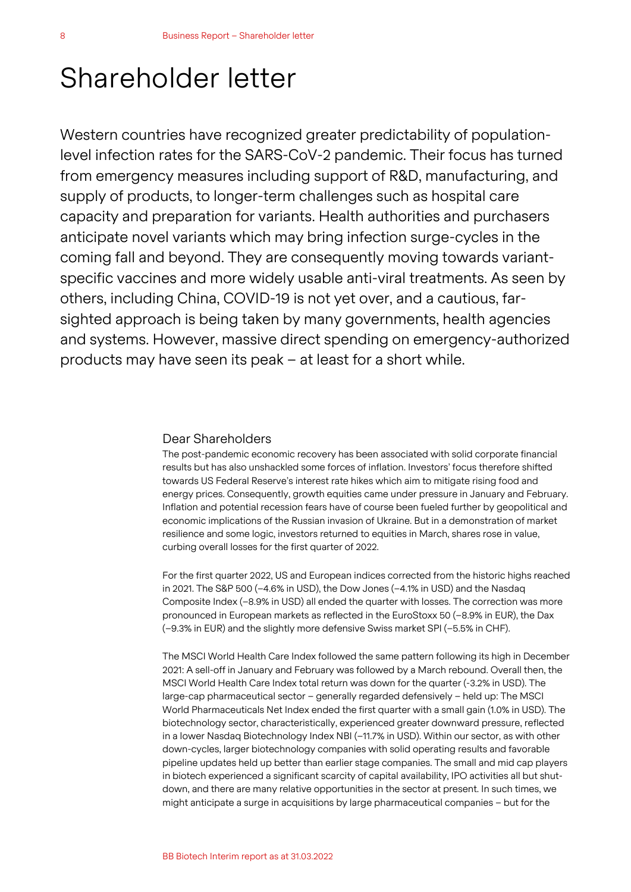# Shareholder letter

Western countries have recognized greater predictability of populationlevel infection rates for the SARS-CoV-2 pandemic. Their focus has turned from emergency measures including support of R&D, manufacturing, and supply of products, to longer-term challenges such as hospital care capacity and preparation for variants. Health authorities and purchasers anticipate novel variants which may bring infection surge-cycles in the coming fall and beyond. They are consequently moving towards variantspecific vaccines and more widely usable anti-viral treatments. As seen by others, including China, COVID-19 is not yet over, and a cautious, farsighted approach is being taken by many governments, health agencies and systems. However, massive direct spending on emergency-authorized products may have seen its peak – at least for a short while.

### Dear Shareholders

The post-pandemic economic recovery has been associated with solid corporate financial results but has also unshackled some forces of inflation. Investors' focus therefore shifted towards US Federal Reserve's interest rate hikes which aim to mitigate rising food and energy prices. Consequently, growth equities came under pressure in January and February. Inflation and potential recession fears have of course been fueled further by geopolitical and economic implications of the Russian invasion of Ukraine. But in a demonstration of market resilience and some logic, investors returned to equities in March, shares rose in value, curbing overall losses for the first quarter of 2022.

For the first quarter 2022, US and European indices corrected from the historic highs reached in 2021. The S&P 500 (–4.6% in USD), the Dow Jones (–4.1% in USD) and the Nasdaq Composite Index (–8.9% in USD) all ended the quarter with losses. The correction was more pronounced in European markets as reflected in the EuroStoxx 50 (–8.9% in EUR), the Dax (–9.3% in EUR) and the slightly more defensive Swiss market SPI (–5.5% in CHF).

The MSCI World Health Care Index followed the same pattern following its high in December 2021: A sell-off in January and February was followed by a March rebound. Overall then, the MSCI World Health Care Index total return was down for the quarter (-3.2% in USD). The large-cap pharmaceutical sector – generally regarded defensively – held up: The MSCI World Pharmaceuticals Net Index ended the first quarter with a small gain (1.0% in USD). The biotechnology sector, characteristically, experienced greater downward pressure, reflected in a lower Nasdaq Biotechnology Index NBI (–11.7% in USD). Within our sector, as with other down-cycles, larger biotechnology companies with solid operating results and favorable pipeline updates held up better than earlier stage companies. The small and mid cap players in biotech experienced a significant scarcity of capital availability, IPO activities all but shutdown, and there are many relative opportunities in the sector at present. In such times, we might anticipate a surge in acquisitions by large pharmaceutical companies – but for the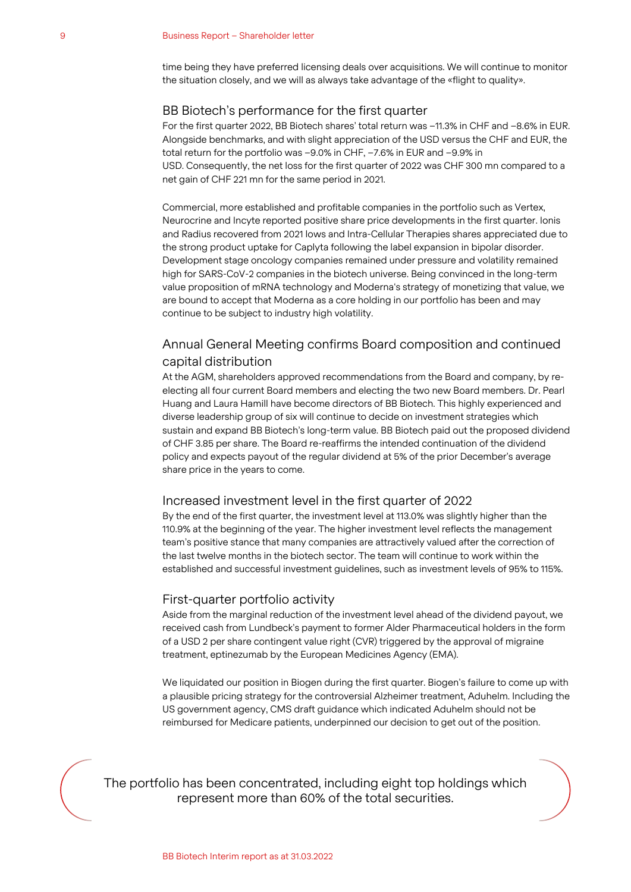time being they have preferred licensing deals over acquisitions. We will continue to monitor the situation closely, and we will as always take advantage of the «flight to quality».

### BB Biotech's performance for the first quarter

For the first quarter 2022, BB Biotech shares' total return was –11.3% in CHF and –8.6% in EUR. Alongside benchmarks, and with slight appreciation of the USD versus the CHF and EUR, the total return for the portfolio was –9.0% in CHF, –7.6% in EUR and –9.9% in USD. Consequently, the net loss for the first quarter of 2022 was CHF 300 mn compared to a net gain of CHF 221 mn for the same period in 2021.

Commercial, more established and profitable companies in the portfolio such as Vertex, Neurocrine and Incyte reported positive share price developments in the first quarter. Ionis and Radius recovered from 2021 lows and Intra-Cellular Therapies shares appreciated due to the strong product uptake for Caplyta following the label expansion in bipolar disorder. Development stage oncology companies remained under pressure and volatility remained high for SARS-CoV-2 companies in the biotech universe. Being convinced in the long-term value proposition of mRNA technology and Moderna's strategy of monetizing that value, we are bound to accept that Moderna as a core holding in our portfolio has been and may continue to be subject to industry high volatility.

## Annual General Meeting confirms Board composition and continued capital distribution

At the AGM, shareholders approved recommendations from the Board and company, by reelecting all four current Board members and electing the two new Board members. Dr. Pearl Huang and Laura Hamill have become directors of BB Biotech. This highly experienced and diverse leadership group of six will continue to decide on investment strategies which sustain and expand BB Biotech's long-term value. BB Biotech paid out the proposed dividend of CHF 3.85 per share. The Board re-reaffirms the intended continuation of the dividend policy and expects payout of the regular dividend at 5% of the prior December's average share price in the years to come.

### Increased investment level in the first quarter of 2022

By the end of the first quarter, the investment level at 113.0% was slightly higher than the 110.9% at the beginning of the year. The higher investment level reflects the management team's positive stance that many companies are attractively valued after the correction of the last twelve months in the biotech sector. The team will continue to work within the established and successful investment guidelines, such as investment levels of 95% to 115%.

### First-quarter portfolio activity

Aside from the marginal reduction of the investment level ahead of the dividend payout, we received cash from Lundbeck's payment to former Alder Pharmaceutical holders in the form of a USD 2 per share contingent value right (CVR) triggered by the approval of migraine treatment, eptinezumab by the European Medicines Agency (EMA).

We liquidated our position in Biogen during the first quarter. Biogen's failure to come up with a plausible pricing strategy for the controversial Alzheimer treatment, Aduhelm. Including the US government agency, CMS draft guidance which indicated Aduhelm should not be reimbursed for Medicare patients, underpinned our decision to get out of the position.

The portfolio has been concentrated, including eight top holdings which represent more than 60% of the total securities.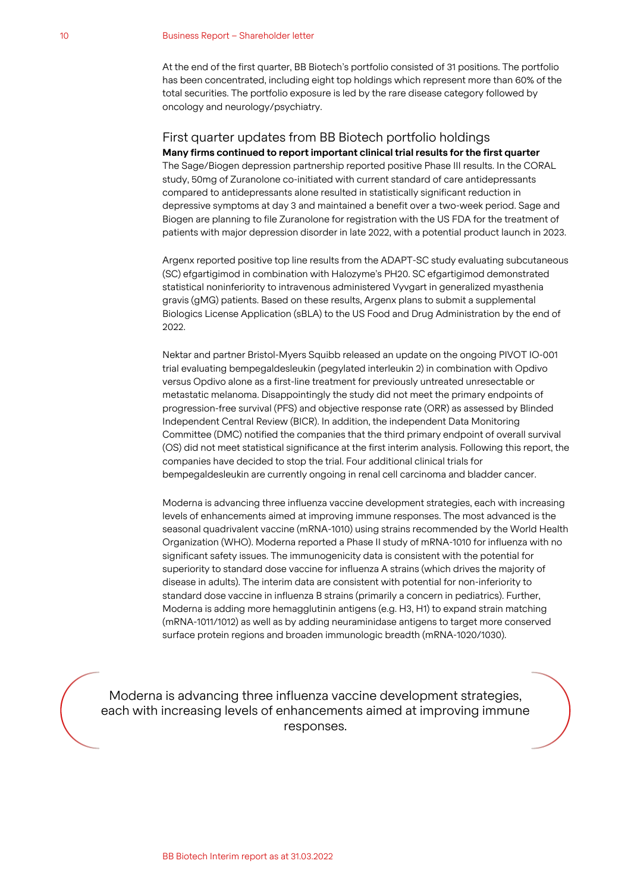At the end of the first quarter, BB Biotech's portfolio consisted of 31 positions. The portfolio has been concentrated, including eight top holdings which represent more than 60% of the total securities. The portfolio exposure is led by the rare disease category followed by oncology and neurology/psychiatry.

## First quarter updates from BB Biotech portfolio holdings

**Many firms continued to report important clinical trial results for the first quarter** The Sage/Biogen depression partnership reported positive Phase III results. In the CORAL study, 50mg of Zuranolone co-initiated with current standard of care antidepressants compared to antidepressants alone resulted in statistically significant reduction in depressive symptoms at day 3 and maintained a benefit over a two-week period. Sage and Biogen are planning to file Zuranolone for registration with the US FDA for the treatment of patients with major depression disorder in late 2022, with a potential product launch in 2023.

Argenx reported positive top line results from the ADAPT-SC study evaluating subcutaneous (SC) efgartigimod in combination with Halozyme's PH20. SC efgartigimod demonstrated statistical noninferiority to intravenous administered Vyvgart in generalized myasthenia gravis (gMG) patients. Based on these results, Argenx plans to submit a supplemental Biologics License Application (sBLA) to the US Food and Drug Administration by the end of 2022.

Nektar and partner Bristol-Myers Squibb released an update on the ongoing PIVOT IO-001 trial evaluating bempegaldesleukin (pegylated interleukin 2) in combination with Opdivo versus Opdivo alone as a first-line treatment for previously untreated unresectable or metastatic melanoma. Disappointingly the study did not meet the primary endpoints of progression-free survival (PFS) and objective response rate (ORR) as assessed by Blinded Independent Central Review (BICR). In addition, the independent Data Monitoring Committee (DMC) notified the companies that the third primary endpoint of overall survival (OS) did not meet statistical significance at the first interim analysis. Following this report, the companies have decided to stop the trial. Four additional clinical trials for bempegaldesleukin are currently ongoing in renal cell carcinoma and bladder cancer.

Moderna is advancing three influenza vaccine development strategies, each with increasing levels of enhancements aimed at improving immune responses. The most advanced is the seasonal quadrivalent vaccine (mRNA-1010) using strains recommended by the World Health Organization (WHO). Moderna reported a Phase II study of mRNA-1010 for influenza with no significant safety issues. The immunogenicity data is consistent with the potential for superiority to standard dose vaccine for influenza A strains (which drives the majority of disease in adults). The interim data are consistent with potential for non-inferiority to standard dose vaccine in influenza B strains (primarily a concern in pediatrics). Further, Moderna is adding more hemagglutinin antigens (e.g. H3, H1) to expand strain matching (mRNA-1011/1012) as well as by adding neuraminidase antigens to target more conserved surface protein regions and broaden immunologic breadth (mRNA-1020/1030).

Moderna is advancing three influenza vaccine development strategies, each with increasing levels of enhancements aimed at improving immune responses.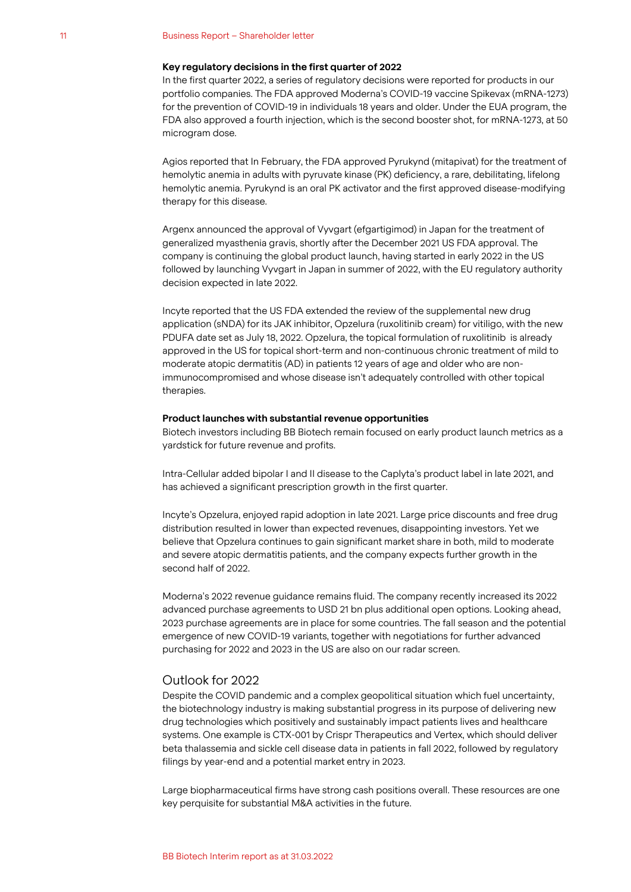#### 11 Business Report – Shareholder letter

### **Key regulatory decisions in the first quarter of 2022**

In the first quarter 2022, a series of regulatory decisions were reported for products in our portfolio companies. The FDA approved Moderna's COVID-19 vaccine Spikevax (mRNA-1273) for the prevention of COVID-19 in individuals 18 years and older. Under the EUA program, the FDA also approved a fourth injection, which is the second booster shot, for mRNA-1273, at 50 microgram dose.

Agios reported that In February, the FDA approved Pyrukynd (mitapivat) for the treatment of hemolytic anemia in adults with pyruvate kinase (PK) deficiency, a rare, debilitating, lifelong hemolytic anemia. Pyrukynd is an oral PK activator and the first approved disease-modifying therapy for this disease.

Argenx announced the approval of Vyvgart (efgartigimod) in Japan for the treatment of generalized myasthenia gravis, shortly after the December 2021 US FDA approval. The company is continuing the global product launch, having started in early 2022 in the US followed by launching Vyvgart in Japan in summer of 2022, with the EU regulatory authority decision expected in late 2022.

Incyte reported that the US FDA extended the review of the supplemental new drug application (sNDA) for its JAK inhibitor, Opzelura (ruxolitinib cream) for vitiligo, with the new PDUFA date set as July 18, 2022. Opzelura, the topical formulation of ruxolitinib is already approved in the US for topical short-term and non-continuous chronic treatment of mild to moderate atopic dermatitis (AD) in patients 12 years of age and older who are nonimmunocompromised and whose disease isn't adequately controlled with other topical therapies.

#### **Product launches with substantial revenue opportunities**

Biotech investors including BB Biotech remain focused on early product launch metrics as a yardstick for future revenue and profits.

Intra-Cellular added bipolar I and II disease to the Caplyta's product label in late 2021, and has achieved a significant prescription growth in the first quarter.

Incyte's Opzelura, enjoyed rapid adoption in late 2021. Large price discounts and free drug distribution resulted in lower than expected revenues, disappointing investors. Yet we believe that Opzelura continues to gain significant market share in both, mild to moderate and severe atopic dermatitis patients, and the company expects further growth in the second half of 2022.

Moderna's 2022 revenue guidance remains fluid. The company recently increased its 2022 advanced purchase agreements to USD 21 bn plus additional open options. Looking ahead, 2023 purchase agreements are in place for some countries. The fall season and the potential emergence of new COVID-19 variants, together with negotiations for further advanced purchasing for 2022 and 2023 in the US are also on our radar screen.

### Outlook for 2022

Despite the COVID pandemic and a complex geopolitical situation which fuel uncertainty, the biotechnology industry is making substantial progress in its purpose of delivering new drug technologies which positively and sustainably impact patients lives and healthcare systems. One example is CTX-001 by Crispr Therapeutics and Vertex, which should deliver beta thalassemia and sickle cell disease data in patients in fall 2022, followed by regulatory filings by year-end and a potential market entry in 2023.

Large biopharmaceutical firms have strong cash positions overall. These resources are one key perquisite for substantial M&A activities in the future.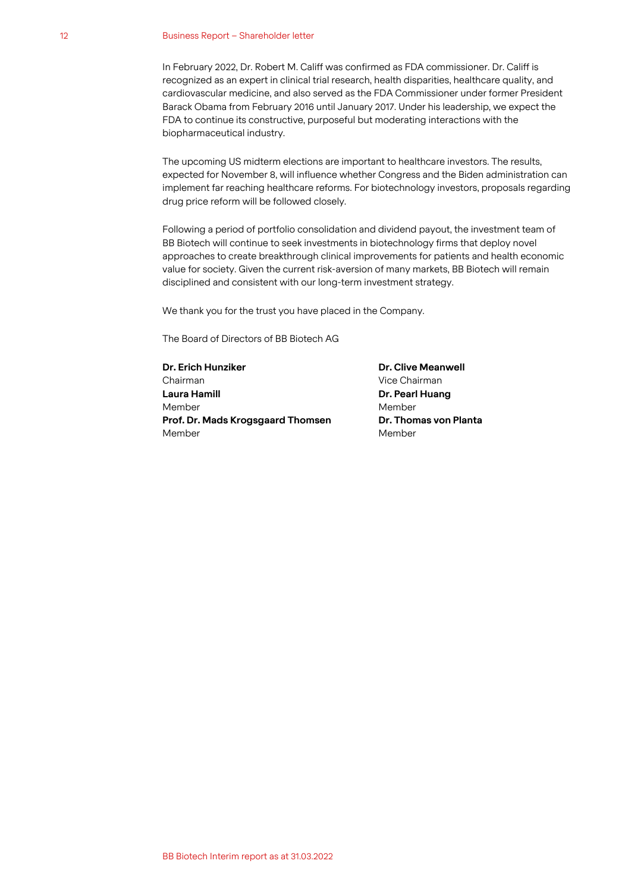#### 12 Business Report – Shareholder letter

In February 2022, Dr. Robert M. Califf was confirmed as FDA commissioner. Dr. Califf is recognized as an expert in clinical trial research, health disparities, healthcare quality, and cardiovascular medicine, and also served as the FDA Commissioner under former President Barack Obama from February 2016 until January 2017. Under his leadership, we expect the FDA to continue its constructive, purposeful but moderating interactions with the biopharmaceutical industry.

The upcoming US midterm elections are important to healthcare investors. The results, expected for November 8, will influence whether Congress and the Biden administration can implement far reaching healthcare reforms. For biotechnology investors, proposals regarding drug price reform will be followed closely.

Following a period of portfolio consolidation and dividend payout, the investment team of BB Biotech will continue to seek investments in biotechnology firms that deploy novel approaches to create breakthrough clinical improvements for patients and health economic value for society. Given the current risk-aversion of many markets, BB Biotech will remain disciplined and consistent with our long-term investment strategy.

We thank you for the trust you have placed in the Company.

The Board of Directors of BB Biotech AG

**Dr. Erich Hunziker** Chairman **Laura Hamill** Member **Prof. Dr. Mads Krogsgaard Thomsen** Member

**Dr. Clive Meanwell** Vice Chairman **Dr. Pearl Huang** Member **Dr. Thomas von Planta** Member